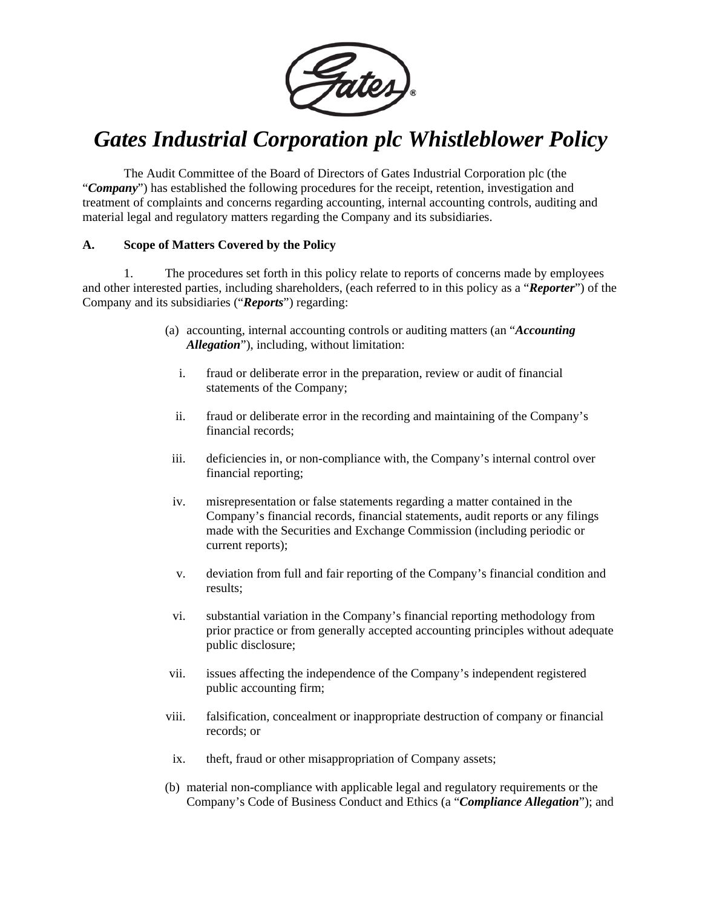

# *Gates Industrial Corporation plc Whistleblower Policy*

The Audit Committee of the Board of Directors of Gates Industrial Corporation plc (the "*Company*") has established the following procedures for the receipt, retention, investigation and treatment of complaints and concerns regarding accounting, internal accounting controls, auditing and material legal and regulatory matters regarding the Company and its subsidiaries.

# **A. Scope of Matters Covered by the Policy**

1. The procedures set forth in this policy relate to reports of concerns made by employees and other interested parties, including shareholders, (each referred to in this policy as a "*Reporter*") of the Company and its subsidiaries ("*Reports*") regarding:

- (a) accounting, internal accounting controls or auditing matters (an "*Accounting Allegation*"), including, without limitation:
	- i. fraud or deliberate error in the preparation, review or audit of financial statements of the Company;
	- ii. fraud or deliberate error in the recording and maintaining of the Company's financial records;
- iii. deficiencies in, or non-compliance with, the Company's internal control over financial reporting;
- iv. misrepresentation or false statements regarding a matter contained in the Company's financial records, financial statements, audit reports or any filings made with the Securities and Exchange Commission (including periodic or current reports);
- v. deviation from full and fair reporting of the Company's financial condition and results;
- vi. substantial variation in the Company's financial reporting methodology from prior practice or from generally accepted accounting principles without adequate public disclosure;
- vii. issues affecting the independence of the Company's independent registered public accounting firm;
- viii. falsification, concealment or inappropriate destruction of company or financial records; or
- ix. theft, fraud or other misappropriation of Company assets;
- (b) material non-compliance with applicable legal and regulatory requirements or the Company's Code of Business Conduct and Ethics (a "*Compliance Allegation*"); and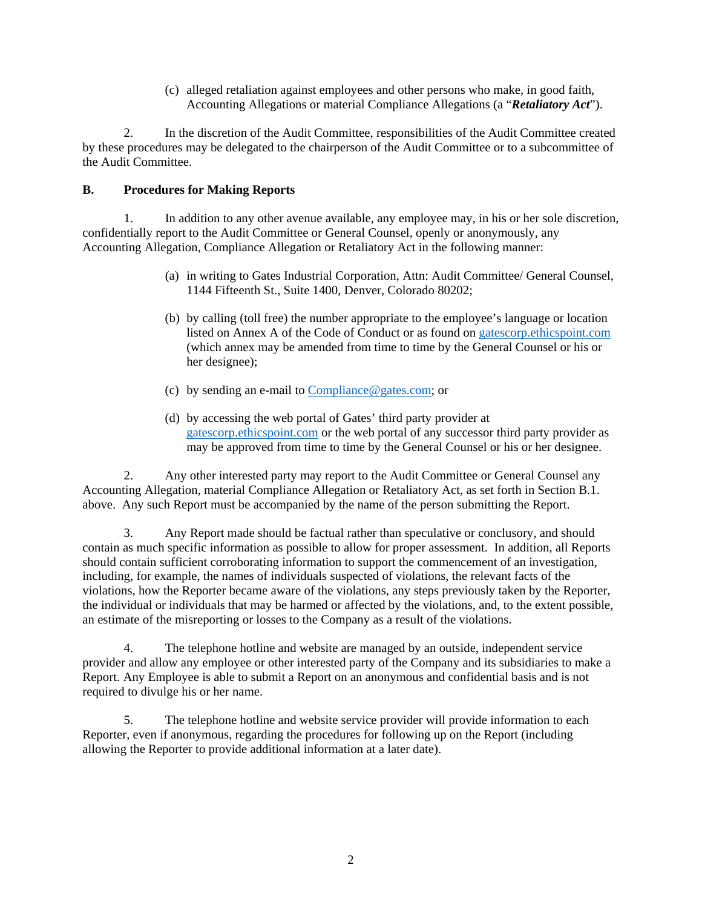(c) alleged retaliation against employees and other persons who make, in good faith, Accounting Allegations or material Compliance Allegations (a "*Retaliatory Act*").

2. In the discretion of the Audit Committee, responsibilities of the Audit Committee created by these procedures may be delegated to the chairperson of the Audit Committee or to a subcommittee of the Audit Committee.

# **B. Procedures for Making Reports**

1. In addition to any other avenue available, any employee may, in his or her sole discretion, confidentially report to the Audit Committee or General Counsel, openly or anonymously, any Accounting Allegation, Compliance Allegation or Retaliatory Act in the following manner:

- (a) in writing to Gates Industrial Corporation, Attn: Audit Committee/ General Counsel, 1144 Fifteenth St., Suite 1400, Denver, Colorado 80202;
- (b) by calling (toll free) the number appropriate to the employee's language or location listed on Annex A of the Code of Conduct or as found on [gatescorp.ethicspoint.com](https://secure.ethicspoint.com/domain/media/en/gui/54760/index.html) (which annex may be amended from time to time by the General Counsel or his or her designee);
- (c) by sending an e-mail to [Compliance@gates.com;](mailto:Compliance@gates.com) or
- (d) by accessing the web portal of Gates' third party provider at [gatescorp.ethicspoint.com](https://secure.ethicspoint.com/domain/media/en/gui/54760/index.html) or the web portal of any successor third party provider as may be approved from time to time by the General Counsel or his or her designee.

2. Any other interested party may report to the Audit Committee or General Counsel any Accounting Allegation, material Compliance Allegation or Retaliatory Act, as set forth in Section B.1. above. Any such Report must be accompanied by the name of the person submitting the Report.

3. Any Report made should be factual rather than speculative or conclusory, and should contain as much specific information as possible to allow for proper assessment. In addition, all Reports should contain sufficient corroborating information to support the commencement of an investigation, including, for example, the names of individuals suspected of violations, the relevant facts of the violations, how the Reporter became aware of the violations, any steps previously taken by the Reporter, the individual or individuals that may be harmed or affected by the violations, and, to the extent possible, an estimate of the misreporting or losses to the Company as a result of the violations.

4. The telephone hotline and website are managed by an outside, independent service provider and allow any employee or other interested party of the Company and its subsidiaries to make a Report. Any Employee is able to submit a Report on an anonymous and confidential basis and is not required to divulge his or her name.

5. The telephone hotline and website service provider will provide information to each Reporter, even if anonymous, regarding the procedures for following up on the Report (including allowing the Reporter to provide additional information at a later date).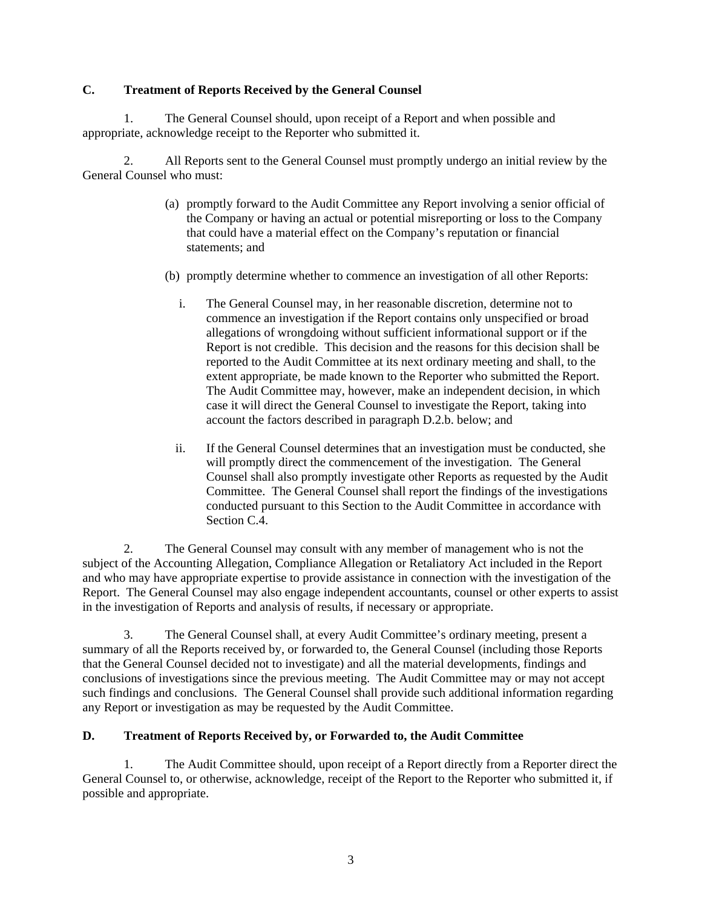# **C. Treatment of Reports Received by the General Counsel**

1. The General Counsel should, upon receipt of a Report and when possible and appropriate, acknowledge receipt to the Reporter who submitted it.

2. All Reports sent to the General Counsel must promptly undergo an initial review by the General Counsel who must:

- (a) promptly forward to the Audit Committee any Report involving a senior official of the Company or having an actual or potential misreporting or loss to the Company that could have a material effect on the Company's reputation or financial statements; and
- (b) promptly determine whether to commence an investigation of all other Reports:
	- i. The General Counsel may, in her reasonable discretion, determine not to commence an investigation if the Report contains only unspecified or broad allegations of wrongdoing without sufficient informational support or if the Report is not credible. This decision and the reasons for this decision shall be reported to the Audit Committee at its next ordinary meeting and shall, to the extent appropriate, be made known to the Reporter who submitted the Report. The Audit Committee may, however, make an independent decision, in which case it will direct the General Counsel to investigate the Report, taking into account the factors described in paragraph D.2.b. below; and
	- ii. If the General Counsel determines that an investigation must be conducted, she will promptly direct the commencement of the investigation. The General Counsel shall also promptly investigate other Reports as requested by the Audit Committee. The General Counsel shall report the findings of the investigations conducted pursuant to this Section to the Audit Committee in accordance with Section C.4.

2. The General Counsel may consult with any member of management who is not the subject of the Accounting Allegation, Compliance Allegation or Retaliatory Act included in the Report and who may have appropriate expertise to provide assistance in connection with the investigation of the Report. The General Counsel may also engage independent accountants, counsel or other experts to assist in the investigation of Reports and analysis of results, if necessary or appropriate.

3. The General Counsel shall, at every Audit Committee's ordinary meeting, present a summary of all the Reports received by, or forwarded to, the General Counsel (including those Reports that the General Counsel decided not to investigate) and all the material developments, findings and conclusions of investigations since the previous meeting. The Audit Committee may or may not accept such findings and conclusions. The General Counsel shall provide such additional information regarding any Report or investigation as may be requested by the Audit Committee.

# **D. Treatment of Reports Received by, or Forwarded to, the Audit Committee**

1. The Audit Committee should, upon receipt of a Report directly from a Reporter direct the General Counsel to, or otherwise, acknowledge, receipt of the Report to the Reporter who submitted it, if possible and appropriate.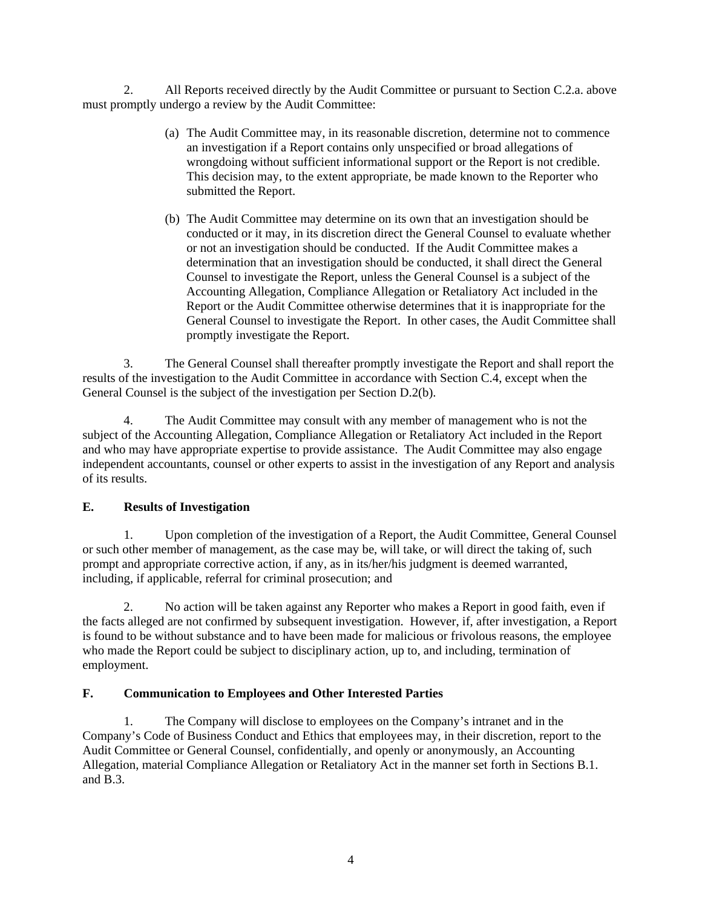2. All Reports received directly by the Audit Committee or pursuant to Section C.2.a. above must promptly undergo a review by the Audit Committee:

- (a) The Audit Committee may, in its reasonable discretion, determine not to commence an investigation if a Report contains only unspecified or broad allegations of wrongdoing without sufficient informational support or the Report is not credible. This decision may, to the extent appropriate, be made known to the Reporter who submitted the Report.
- (b) The Audit Committee may determine on its own that an investigation should be conducted or it may, in its discretion direct the General Counsel to evaluate whether or not an investigation should be conducted. If the Audit Committee makes a determination that an investigation should be conducted, it shall direct the General Counsel to investigate the Report, unless the General Counsel is a subject of the Accounting Allegation, Compliance Allegation or Retaliatory Act included in the Report or the Audit Committee otherwise determines that it is inappropriate for the General Counsel to investigate the Report. In other cases, the Audit Committee shall promptly investigate the Report.

3. The General Counsel shall thereafter promptly investigate the Report and shall report the results of the investigation to the Audit Committee in accordance with Section C.4, except when the General Counsel is the subject of the investigation per Section D.2(b).

4. The Audit Committee may consult with any member of management who is not the subject of the Accounting Allegation, Compliance Allegation or Retaliatory Act included in the Report and who may have appropriate expertise to provide assistance. The Audit Committee may also engage independent accountants, counsel or other experts to assist in the investigation of any Report and analysis of its results.

# **E. Results of Investigation**

1. Upon completion of the investigation of a Report, the Audit Committee, General Counsel or such other member of management, as the case may be, will take, or will direct the taking of, such prompt and appropriate corrective action, if any, as in its/her/his judgment is deemed warranted, including, if applicable, referral for criminal prosecution; and

2. No action will be taken against any Reporter who makes a Report in good faith, even if the facts alleged are not confirmed by subsequent investigation. However, if, after investigation, a Report is found to be without substance and to have been made for malicious or frivolous reasons, the employee who made the Report could be subject to disciplinary action, up to, and including, termination of employment.

#### **F. Communication to Employees and Other Interested Parties**

1. The Company will disclose to employees on the Company's intranet and in the Company's Code of Business Conduct and Ethics that employees may, in their discretion, report to the Audit Committee or General Counsel, confidentially, and openly or anonymously, an Accounting Allegation, material Compliance Allegation or Retaliatory Act in the manner set forth in Sections B.1. and B.3.